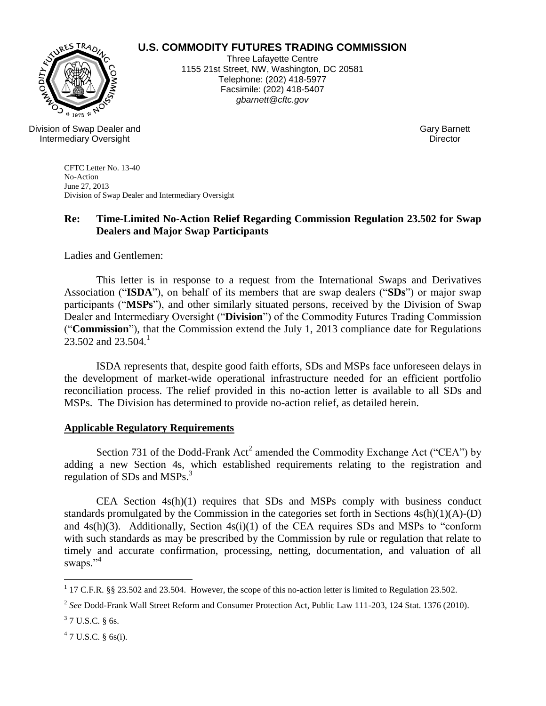

# **U.S. COMMODITY FUTURES TRADING COMMISSION**

Three Lafayette Centre 1155 21st Street, NW, Washington, DC 20581 Telephone: (202) 418-5977 Facsimile: (202) 418-5407 *gbarnett@cftc.gov*

Division of Swap Dealer and Intermediary Oversight

Gary Barnett **Director** 

CFTC Letter No. 13-40 No-Action June 27, 2013 Division of Swap Dealer and Intermediary Oversight

# **Re: Time-Limited No-Action Relief Regarding Commission Regulation 23.502 for Swap Dealers and Major Swap Participants**

Ladies and Gentlemen:

This letter is in response to a request from the International Swaps and Derivatives Association ("**ISDA**"), on behalf of its members that are swap dealers ("**SDs**") or major swap participants ("**MSPs**"), and other similarly situated persons, received by the Division of Swap Dealer and Intermediary Oversight ("**Division**") of the Commodity Futures Trading Commission ("**Commission**"), that the Commission extend the July 1, 2013 compliance date for Regulations  $23.502$  and  $23.504$ .<sup>1</sup>

ISDA represents that, despite good faith efforts, SDs and MSPs face unforeseen delays in the development of market-wide operational infrastructure needed for an efficient portfolio reconciliation process. The relief provided in this no-action letter is available to all SDs and MSPs. The Division has determined to provide no-action relief, as detailed herein.

## **Applicable Regulatory Requirements**

Section 731 of the Dodd-Frank  $Act^2$  amended the Commodity Exchange Act ("CEA") by adding a new Section 4s, which established requirements relating to the registration and regulation of SDs and MSPs.<sup>3</sup>

CEA Section 4s(h)(1) requires that SDs and MSPs comply with business conduct standards promulgated by the Commission in the categories set forth in Sections 4s(h)(1)(A)-(D) and 4s(h)(3). Additionally, Section 4s(i)(1) of the CEA requires SDs and MSPs to "conform with such standards as may be prescribed by the Commission by rule or regulation that relate to timely and accurate confirmation, processing, netting, documentation, and valuation of all swaps."<sup>4</sup>

<sup>&</sup>lt;sup>1</sup> 17 C.F.R. §§ 23.502 and 23.504. However, the scope of this no-action letter is limited to Regulation 23.502.

<sup>2</sup> *See* Dodd-Frank Wall Street Reform and Consumer Protection Act, Public Law 111-203, 124 Stat. 1376 (2010).

 $3$  7 U.S.C. § 6s.

 $47$  U.S.C. § 6s(i).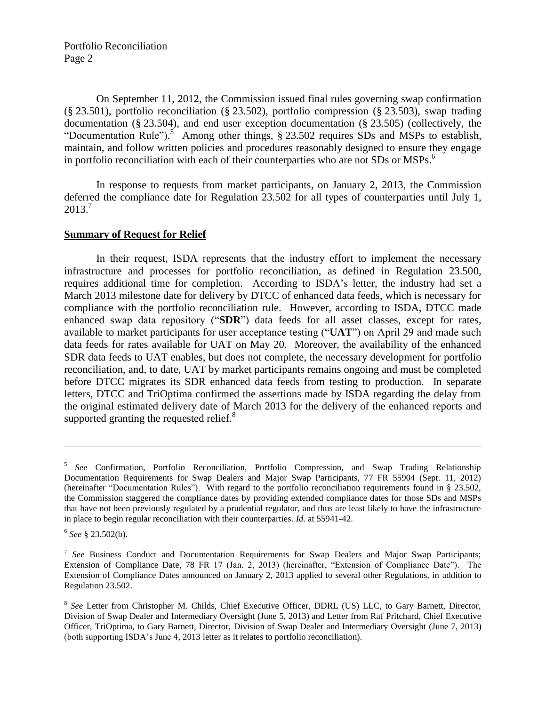Portfolio Reconciliation Page 2

On September 11, 2012, the Commission issued final rules governing swap confirmation (§ 23.501), portfolio reconciliation (§ 23.502), portfolio compression (§ 23.503), swap trading documentation (§ 23.504), and end user exception documentation (§ 23.505) (collectively, the "Documentation Rule").<sup>5</sup> Among other things,  $\S$  23.502 requires SDs and MSPs to establish, maintain, and follow written policies and procedures reasonably designed to ensure they engage in portfolio reconciliation with each of their counterparties who are not SDs or MSPs.<sup>6</sup>

In response to requests from market participants, on January 2, 2013, the Commission deferred the compliance date for Regulation 23.502 for all types of counterparties until July 1,  $2013.<sup>7</sup>$ 

### **Summary of Request for Relief**

In their request, ISDA represents that the industry effort to implement the necessary infrastructure and processes for portfolio reconciliation, as defined in Regulation 23.500, requires additional time for completion. According to ISDA's letter, the industry had set a March 2013 milestone date for delivery by DTCC of enhanced data feeds, which is necessary for compliance with the portfolio reconciliation rule. However, according to ISDA, DTCC made enhanced swap data repository ("**SDR**") data feeds for all asset classes, except for rates, available to market participants for user acceptance testing ("**UAT**") on April 29 and made such data feeds for rates available for UAT on May 20. Moreover, the availability of the enhanced SDR data feeds to UAT enables, but does not complete, the necessary development for portfolio reconciliation, and, to date, UAT by market participants remains ongoing and must be completed before DTCC migrates its SDR enhanced data feeds from testing to production. In separate letters, DTCC and TriOptima confirmed the assertions made by ISDA regarding the delay from the original estimated delivery date of March 2013 for the delivery of the enhanced reports and supported granting the requested relief. $\frac{8}{3}$ 

 $\overline{a}$ 

<sup>5</sup> *See* Confirmation, Portfolio Reconciliation, Portfolio Compression, and Swap Trading Relationship Documentation Requirements for Swap Dealers and Major Swap Participants, 77 FR 55904 (Sept. 11, 2012) (hereinafter "Documentation Rules"). With regard to the portfolio reconciliation requirements found in § 23.502, the Commission staggered the compliance dates by providing extended compliance dates for those SDs and MSPs that have not been previously regulated by a prudential regulator, and thus are least likely to have the infrastructure in place to begin regular reconciliation with their counterparties. *Id.* at 55941-42.

<sup>6</sup> *See* § 23.502(b).

<sup>&</sup>lt;sup>7</sup> See Business Conduct and Documentation Requirements for Swap Dealers and Major Swap Participants; Extension of Compliance Date, 78 FR 17 (Jan. 2, 2013) (hereinafter, "Extension of Compliance Date"). The Extension of Compliance Dates announced on January 2, 2013 applied to several other Regulations, in addition to Regulation 23.502.

<sup>&</sup>lt;sup>8</sup> See Letter from Christopher M. Childs, Chief Executive Officer, DDRL (US) LLC, to Gary Barnett, Director, Division of Swap Dealer and Intermediary Oversight (June 5, 2013) and Letter from Raf Pritchard, Chief Executive Officer, TriOptima, to Gary Barnett, Director, Division of Swap Dealer and Intermediary Oversight (June 7, 2013) (both supporting ISDA's June 4, 2013 letter as it relates to portfolio reconciliation).